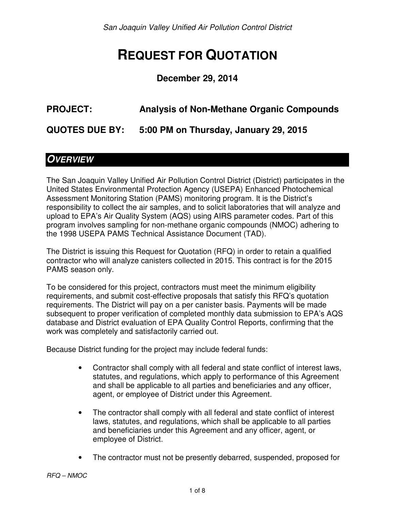San Joaquin Valley Unified Air Pollution Control District

# **REQUEST FOR QUOTATION**

#### **December 29, 2014**

# **PROJECT: Analysis of Non-Methane Organic Compounds**

**QUOTES DUE BY: 5:00 PM on Thursday, January 29, 2015** 

## **OVERVIEW**

The San Joaquin Valley Unified Air Pollution Control District (District) participates in the United States Environmental Protection Agency (USEPA) Enhanced Photochemical Assessment Monitoring Station (PAMS) monitoring program. It is the District's responsibility to collect the air samples, and to solicit laboratories that will analyze and upload to EPA's Air Quality System (AQS) using AIRS parameter codes. Part of this program involves sampling for non-methane organic compounds (NMOC) adhering to the 1998 USEPA PAMS Technical Assistance Document (TAD).

The District is issuing this Request for Quotation (RFQ) in order to retain a qualified contractor who will analyze canisters collected in 2015. This contract is for the 2015 PAMS season only.

To be considered for this project, contractors must meet the minimum eligibility requirements, and submit cost-effective proposals that satisfy this RFQ's quotation requirements. The District will pay on a per canister basis. Payments will be made subsequent to proper verification of completed monthly data submission to EPA's AQS database and District evaluation of EPA Quality Control Reports, confirming that the work was completely and satisfactorily carried out.

Because District funding for the project may include federal funds:

- Contractor shall comply with all federal and state conflict of interest laws, statutes, and regulations, which apply to performance of this Agreement and shall be applicable to all parties and beneficiaries and any officer, agent, or employee of District under this Agreement.
- The contractor shall comply with all federal and state conflict of interest laws, statutes, and regulations, which shall be applicable to all parties and beneficiaries under this Agreement and any officer, agent, or employee of District.
- The contractor must not be presently debarred, suspended, proposed for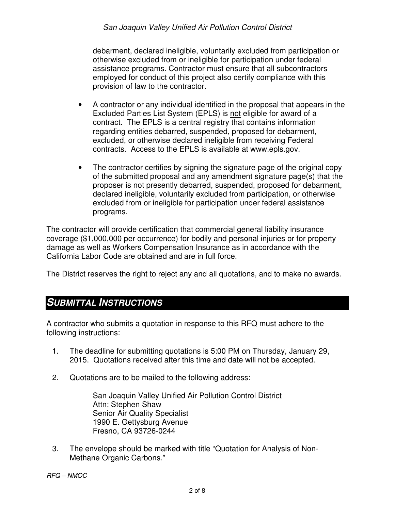#### San Joaquin Valley Unified Air Pollution Control District

debarment, declared ineligible, voluntarily excluded from participation or otherwise excluded from or ineligible for participation under federal assistance programs. Contractor must ensure that all subcontractors employed for conduct of this project also certify compliance with this provision of law to the contractor.

- A contractor or any individual identified in the proposal that appears in the Excluded Parties List System (EPLS) is not eligible for award of a contract. The EPLS is a central registry that contains information regarding entities debarred, suspended, proposed for debarment, excluded, or otherwise declared ineligible from receiving Federal contracts. Access to the EPLS is available at www.epls.gov.
- The contractor certifies by signing the signature page of the original copy of the submitted proposal and any amendment signature page(s) that the proposer is not presently debarred, suspended, proposed for debarment, declared ineligible, voluntarily excluded from participation, or otherwise excluded from or ineligible for participation under federal assistance programs.

The contractor will provide certification that commercial general liability insurance coverage (\$1,000,000 per occurrence) for bodily and personal injuries or for property damage as well as Workers Compensation Insurance as in accordance with the California Labor Code are obtained and are in full force.

The District reserves the right to reject any and all quotations, and to make no awards.

#### **SUBMITTAL INSTRUCTIONS**

A contractor who submits a quotation in response to this RFQ must adhere to the following instructions:

- 1. The deadline for submitting quotations is 5:00 PM on Thursday, January 29, 2015. Quotations received after this time and date will not be accepted.
- 2. Quotations are to be mailed to the following address:

San Joaquin Valley Unified Air Pollution Control District Attn: Stephen Shaw Senior Air Quality Specialist 1990 E. Gettysburg Avenue Fresno, CA 93726-0244

3. The envelope should be marked with title "Quotation for Analysis of Non-Methane Organic Carbons."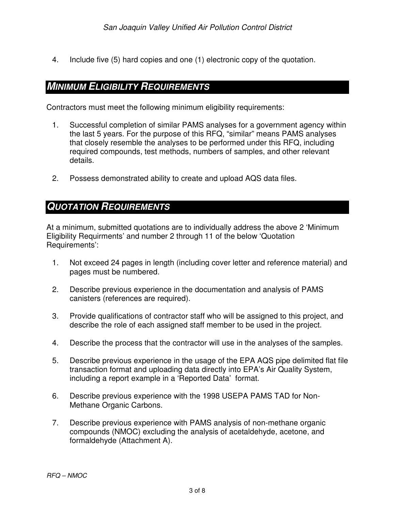4. Include five (5) hard copies and one (1) electronic copy of the quotation.

## **MINIMUM ELIGIBILITY REQUIREMENTS**

Contractors must meet the following minimum eligibility requirements:

- 1. Successful completion of similar PAMS analyses for a government agency within the last 5 years. For the purpose of this RFQ, "similar" means PAMS analyses that closely resemble the analyses to be performed under this RFQ, including required compounds, test methods, numbers of samples, and other relevant details.
- 2. Possess demonstrated ability to create and upload AQS data files.

#### **QUOTATION REQUIREMENTS**

At a minimum, submitted quotations are to individually address the above 2 'Minimum Eligibility Requirments' and number 2 through 11 of the below 'Quotation Requirements':

- 1. Not exceed 24 pages in length (including cover letter and reference material) and pages must be numbered.
- 2. Describe previous experience in the documentation and analysis of PAMS canisters (references are required).
- 3. Provide qualifications of contractor staff who will be assigned to this project, and describe the role of each assigned staff member to be used in the project.
- 4. Describe the process that the contractor will use in the analyses of the samples.
- 5. Describe previous experience in the usage of the EPA AQS pipe delimited flat file transaction format and uploading data directly into EPA's Air Quality System, including a report example in a 'Reported Data' format.
- 6. Describe previous experience with the 1998 USEPA PAMS TAD for Non-Methane Organic Carbons.
- 7. Describe previous experience with PAMS analysis of non-methane organic compounds (NMOC) excluding the analysis of acetaldehyde, acetone, and formaldehyde (Attachment A).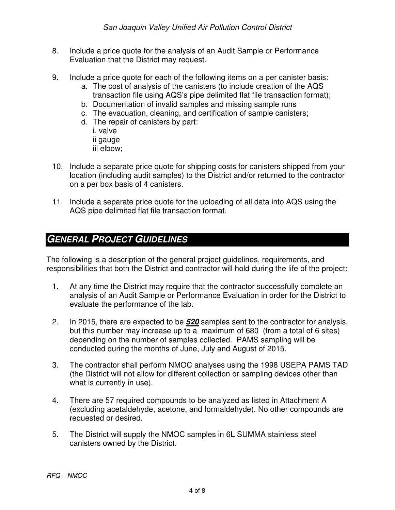- 8. Include a price quote for the analysis of an Audit Sample or Performance Evaluation that the District may request.
- 9. Include a price quote for each of the following items on a per canister basis:
	- a. The cost of analysis of the canisters (to include creation of the AQS transaction file using AQS's pipe delimited flat file transaction format);
	- b. Documentation of invalid samples and missing sample runs
	- c. The evacuation, cleaning, and certification of sample canisters;
	- d. The repair of canisters by part:
		- i. valve ii gauge iii elbow;
- 10. Include a separate price quote for shipping costs for canisters shipped from your location (including audit samples) to the District and/or returned to the contractor on a per box basis of 4 canisters.
- 11. Include a separate price quote for the uploading of all data into AQS using the AQS pipe delimited flat file transaction format.

## **GENERAL PROJECT GUIDELINES**

The following is a description of the general project guidelines, requirements, and responsibilities that both the District and contractor will hold during the life of the project:

- 1. At any time the District may require that the contractor successfully complete an analysis of an Audit Sample or Performance Evaluation in order for the District to evaluate the performance of the lab.
- 2. In 2015, there are expected to be **520** samples sent to the contractor for analysis, but this number may increase up to a maximum of 680 (from a total of 6 sites) depending on the number of samples collected. PAMS sampling will be conducted during the months of June, July and August of 2015.
- 3. The contractor shall perform NMOC analyses using the 1998 USEPA PAMS TAD (the District will not allow for different collection or sampling devices other than what is currently in use).
- 4. There are 57 required compounds to be analyzed as listed in Attachment A (excluding acetaldehyde, acetone, and formaldehyde). No other compounds are requested or desired.
- 5. The District will supply the NMOC samples in 6L SUMMA stainless steel canisters owned by the District.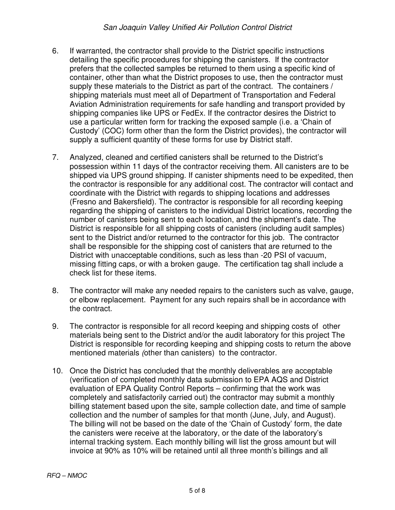- 6. If warranted, the contractor shall provide to the District specific instructions detailing the specific procedures for shipping the canisters. If the contractor prefers that the collected samples be returned to them using a specific kind of container, other than what the District proposes to use, then the contractor must supply these materials to the District as part of the contract. The containers / shipping materials must meet all of Department of Transportation and Federal Aviation Administration requirements for safe handling and transport provided by shipping companies like UPS or FedEx. If the contractor desires the District to use a particular written form for tracking the exposed sample (i.e. a 'Chain of Custody' (COC) form other than the form the District provides), the contractor will supply a sufficient quantity of these forms for use by District staff.
- 7. Analyzed, cleaned and certified canisters shall be returned to the District's possession within 11 days of the contractor receiving them. All canisters are to be shipped via UPS ground shipping. If canister shipments need to be expedited, then the contractor is responsible for any additional cost. The contractor will contact and coordinate with the District with regards to shipping locations and addresses (Fresno and Bakersfield). The contractor is responsible for all recording keeping regarding the shipping of canisters to the individual District locations, recording the number of canisters being sent to each location, and the shipment's date. The District is responsible for all shipping costs of canisters (including audit samples) sent to the District and/or returned to the contractor for this job. The contractor shall be responsible for the shipping cost of canisters that are returned to the District with unacceptable conditions, such as less than -20 PSI of vacuum, missing fitting caps, or with a broken gauge. The certification tag shall include a check list for these items.
- 8. The contractor will make any needed repairs to the canisters such as valve, gauge, or elbow replacement. Payment for any such repairs shall be in accordance with the contract.
- 9. The contractor is responsible for all record keeping and shipping costs of other materials being sent to the District and/or the audit laboratory for this project The District is responsible for recording keeping and shipping costs to return the above mentioned materials (other than canisters) to the contractor.
- 10. Once the District has concluded that the monthly deliverables are acceptable (verification of completed monthly data submission to EPA AQS and District evaluation of EPA Quality Control Reports – confirming that the work was completely and satisfactorily carried out) the contractor may submit a monthly billing statement based upon the site, sample collection date, and time of sample collection and the number of samples for that month (June, July, and August). The billing will not be based on the date of the 'Chain of Custody' form, the date the canisters were receive at the laboratory, or the date of the laboratory's internal tracking system. Each monthly billing will list the gross amount but will invoice at 90% as 10% will be retained until all three month's billings and all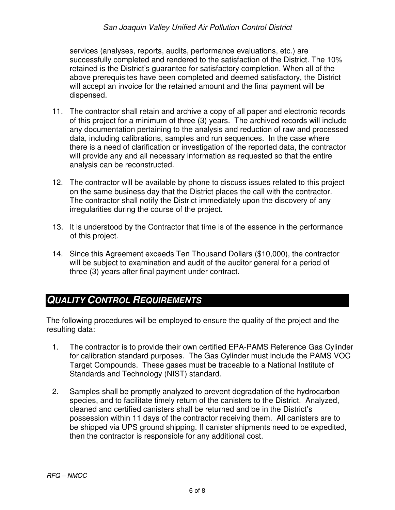#### San Joaquin Valley Unified Air Pollution Control District

services (analyses, reports, audits, performance evaluations, etc.) are successfully completed and rendered to the satisfaction of the District. The 10% retained is the District's guarantee for satisfactory completion. When all of the above prerequisites have been completed and deemed satisfactory, the District will accept an invoice for the retained amount and the final payment will be dispensed.

- 11. The contractor shall retain and archive a copy of all paper and electronic records of this project for a minimum of three (3) years. The archived records will include any documentation pertaining to the analysis and reduction of raw and processed data, including calibrations, samples and run sequences. In the case where there is a need of clarification or investigation of the reported data, the contractor will provide any and all necessary information as requested so that the entire analysis can be reconstructed.
- 12. The contractor will be available by phone to discuss issues related to this project on the same business day that the District places the call with the contractor. The contractor shall notify the District immediately upon the discovery of any irregularities during the course of the project.
- 13. It is understood by the Contractor that time is of the essence in the performance of this project.
- 14. Since this Agreement exceeds Ten Thousand Dollars (\$10,000), the contractor will be subject to examination and audit of the auditor general for a period of three (3) years after final payment under contract.

# **QUALITY CONTROL REQUIREMENTS**

The following procedures will be employed to ensure the quality of the project and the resulting data:

- 1. The contractor is to provide their own certified EPA-PAMS Reference Gas Cylinder for calibration standard purposes. The Gas Cylinder must include the PAMS VOC Target Compounds. These gases must be traceable to a National Institute of Standards and Technology (NIST) standard.
- 2. Samples shall be promptly analyzed to prevent degradation of the hydrocarbon species, and to facilitate timely return of the canisters to the District. Analyzed, cleaned and certified canisters shall be returned and be in the District's possession within 11 days of the contractor receiving them. All canisters are to be shipped via UPS ground shipping. If canister shipments need to be expedited, then the contractor is responsible for any additional cost.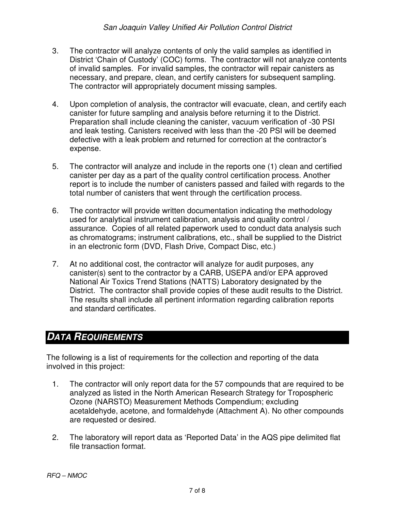- 3. The contractor will analyze contents of only the valid samples as identified in District 'Chain of Custody' (COC) forms. The contractor will not analyze contents of invalid samples. For invalid samples, the contractor will repair canisters as necessary, and prepare, clean, and certify canisters for subsequent sampling. The contractor will appropriately document missing samples.
- 4. Upon completion of analysis, the contractor will evacuate, clean, and certify each canister for future sampling and analysis before returning it to the District. Preparation shall include cleaning the canister, vacuum verification of -30 PSI and leak testing. Canisters received with less than the -20 PSI will be deemed defective with a leak problem and returned for correction at the contractor's expense.
- 5. The contractor will analyze and include in the reports one (1) clean and certified canister per day as a part of the quality control certification process. Another report is to include the number of canisters passed and failed with regards to the total number of canisters that went through the certification process.
- 6. The contractor will provide written documentation indicating the methodology used for analytical instrument calibration, analysis and quality control / assurance. Copies of all related paperwork used to conduct data analysis such as chromatograms; instrument calibrations, etc., shall be supplied to the District in an electronic form (DVD, Flash Drive, Compact Disc, etc.)
- 7. At no additional cost, the contractor will analyze for audit purposes, any canister(s) sent to the contractor by a CARB, USEPA and/or EPA approved National Air Toxics Trend Stations (NATTS) Laboratory designated by the District. The contractor shall provide copies of these audit results to the District. The results shall include all pertinent information regarding calibration reports and standard certificates.

# **DATA REQUIREMENTS**

The following is a list of requirements for the collection and reporting of the data involved in this project:

- 1. The contractor will only report data for the 57 compounds that are required to be analyzed as listed in the North American Research Strategy for Tropospheric Ozone (NARSTO) Measurement Methods Compendium; excluding acetaldehyde, acetone, and formaldehyde (Attachment A). No other compounds are requested or desired.
- 2. The laboratory will report data as 'Reported Data' in the AQS pipe delimited flat file transaction format.